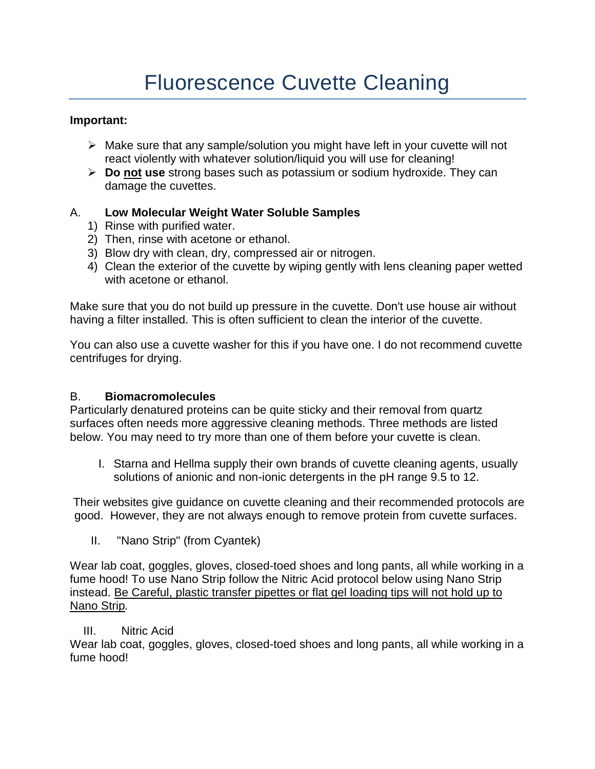### **Important:**

- $\triangleright$  Make sure that any sample/solution you might have left in your cuvette will not react violently with whatever solution/liquid you will use for cleaning!
- **Do not use** strong bases such as potassium or sodium hydroxide. They can damage the cuvettes.

# A. **Low Molecular Weight Water Soluble Samples**

- 1) Rinse with purified water.
- 2) Then, rinse with acetone or ethanol.
- 3) Blow dry with clean, dry, compressed air or nitrogen.
- 4) Clean the exterior of the cuvette by wiping gently with lens cleaning paper wetted with acetone or ethanol.

Make sure that you do not build up pressure in the cuvette. Don't use house air without having a filter installed. This is often sufficient to clean the interior of the cuvette.

You can also use a cuvette washer for this if you have one. I do not recommend cuvette centrifuges for drying.

## B. **Biomacromolecules**

Particularly denatured proteins can be quite sticky and their removal from quartz surfaces often needs more aggressive cleaning methods. Three methods are listed below. You may need to try more than one of them before your cuvette is clean.

I. Starna and Hellma supply their own brands of cuvette cleaning agents, usually solutions of anionic and non-ionic detergents in the pH range 9.5 to 12.

Their websites give guidance on cuvette cleaning and their recommended protocols are good. However, they are not always enough to remove protein from cuvette surfaces.

II. "Nano Strip" (from Cyantek)

Wear lab coat, goggles, gloves, closed-toed shoes and long pants, all while working in a fume hood! To use Nano Strip follow the Nitric Acid protocol below using Nano Strip instead. Be Careful, plastic transfer pipettes or flat gel loading tips will not hold up to Nano Strip*.*

## III. Nitric Acid

Wear lab coat, goggles, gloves, closed-toed shoes and long pants, all while working in a fume hood!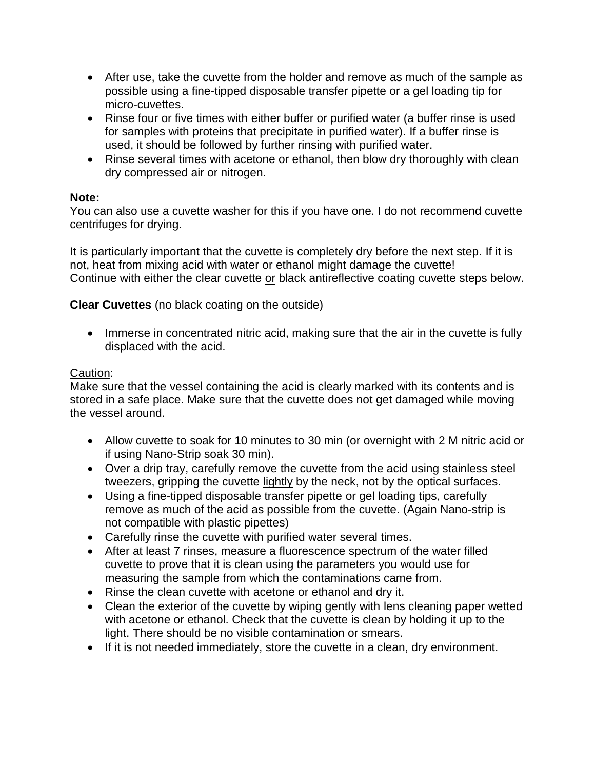- After use, take the cuvette from the holder and remove as much of the sample as possible using a fine-tipped disposable transfer pipette or a gel loading tip for micro-cuvettes.
- Rinse four or five times with either buffer or purified water (a buffer rinse is used for samples with proteins that precipitate in purified water). If a buffer rinse is used, it should be followed by further rinsing with purified water.
- Rinse several times with acetone or ethanol, then blow dry thoroughly with clean dry compressed air or nitrogen.

#### **Note:**

You can also use a cuvette washer for this if you have one. I do not recommend cuvette centrifuges for drying.

It is particularly important that the cuvette is completely dry before the next step. If it is not, heat from mixing acid with water or ethanol might damage the cuvette! Continue with either the clear cuvette or black antireflective coating cuvette steps below.

**Clear Cuvettes** (no black coating on the outside)

• Immerse in concentrated nitric acid, making sure that the air in the cuvette is fully displaced with the acid.

#### Caution:

Make sure that the vessel containing the acid is clearly marked with its contents and is stored in a safe place. Make sure that the cuvette does not get damaged while moving the vessel around.

- Allow cuvette to soak for 10 minutes to 30 min (or overnight with 2 M nitric acid or if using Nano-Strip soak 30 min).
- Over a drip tray, carefully remove the cuvette from the acid using stainless steel tweezers, gripping the cuvette lightly by the neck, not by the optical surfaces.
- Using a fine-tipped disposable transfer pipette or gel loading tips, carefully remove as much of the acid as possible from the cuvette. (Again Nano-strip is not compatible with plastic pipettes)
- Carefully rinse the cuvette with purified water several times.
- After at least 7 rinses, measure a fluorescence spectrum of the water filled cuvette to prove that it is clean using the parameters you would use for measuring the sample from which the contaminations came from.
- Rinse the clean cuvette with acetone or ethanol and dry it.
- Clean the exterior of the cuvette by wiping gently with lens cleaning paper wetted with acetone or ethanol. Check that the cuvette is clean by holding it up to the light. There should be no visible contamination or smears.
- If it is not needed immediately, store the cuvette in a clean, dry environment.